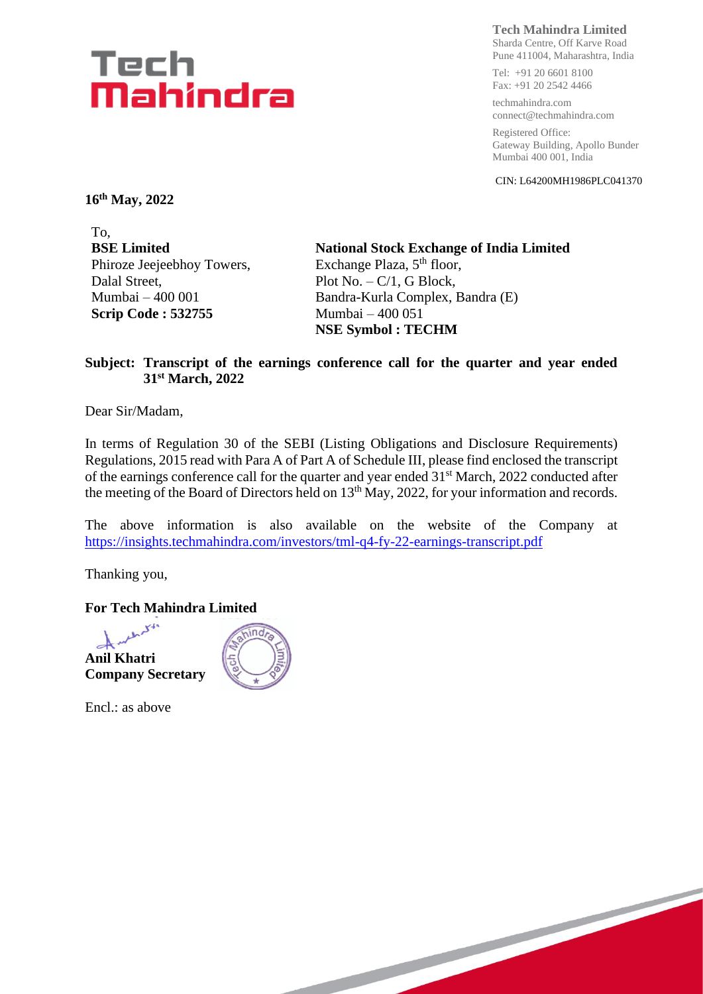# Tech Mahindra

**Tech Mahindra Limited**

Sharda Centre, Off Karve Road Pune 411004, Maharashtra, India

Tel: +91 20 6601 8100 Fax: +91 20 2542 4466

techmahindra.com connect@techmahindra.com

Registered Office: Gateway Building, Apollo Bunder Mumbai 400 001, India

CIN: L64200MH1986PLC041370

**16 th May, 2022**

To, **BSE Limited** Phiroze Jeejeebhoy Towers, Dalal Street, Mumbai – 400 001 **Scrip Code : 532755**

**National Stock Exchange of India Limited** Exchange Plaza,  $5<sup>th</sup>$  floor, Plot  $No. - C/1$ , G Block, Bandra-Kurla Complex, Bandra (E) Mumbai – 400 051 **NSE Symbol : TECHM**

#### **Subject: Transcript of the earnings conference call for the quarter and year ended 31st March, 2022**

Dear Sir/Madam,

In terms of Regulation 30 of the SEBI (Listing Obligations and Disclosure Requirements) Regulations, 2015 read with Para A of Part A of Schedule III, please find enclosed the transcript of the earnings conference call for the quarter and year ended 31<sup>st</sup> March, 2022 conducted after the meeting of the Board of Directors held on 13<sup>th</sup> May, 2022, for your information and records.

The above information is also available on the website of the Company at <https://insights.techmahindra.com/investors/tml-q4-fy-22-earnings-transcript.pdf>

Thanking you,

**For Tech Mahindra Limited**



Encl.: as above

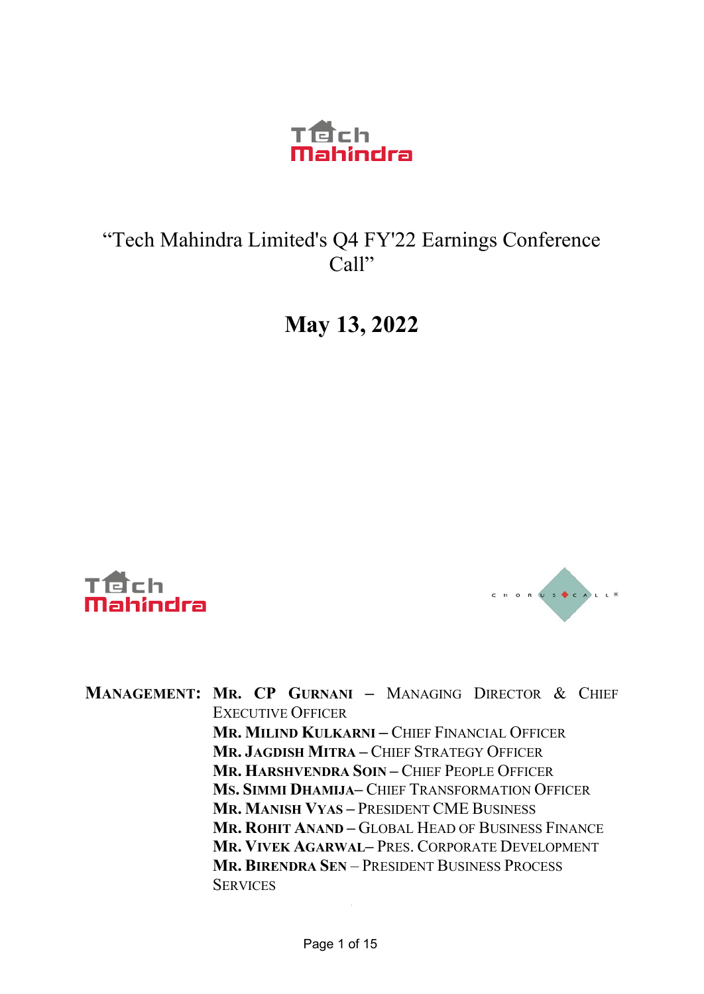

### "Tech Mahindra Limited's Q4 FY'22 Earnings Conference Call"

# **May 13, 2022**





**MANAGEMENT: MR. CP GURNANI –** MANAGING DIRECTOR & CHIEF EXECUTIVE OFFICER **MR. MILIND KULKARNI –** CHIEF FINANCIAL OFFICER **MR. JAGDISH MITRA –** CHIEF STRATEGY OFFICER **MR. HARSHVENDRA SOIN –** CHIEF PEOPLE OFFICER **MS. SIMMI DHAMIJA–** CHIEF TRANSFORMATION OFFICER **MR. MANISH VYAS –** PRESIDENT CME BUSINESS **MR. ROHIT ANAND –** GLOBAL HEAD OF BUSINESS FINANCE **MR. VIVEK AGARWAL–** PRES. CORPORATE DEVELOPMENT **MR. BIRENDRA SEN** – PRESIDENT BUSINESS PROCESS **SERVICES**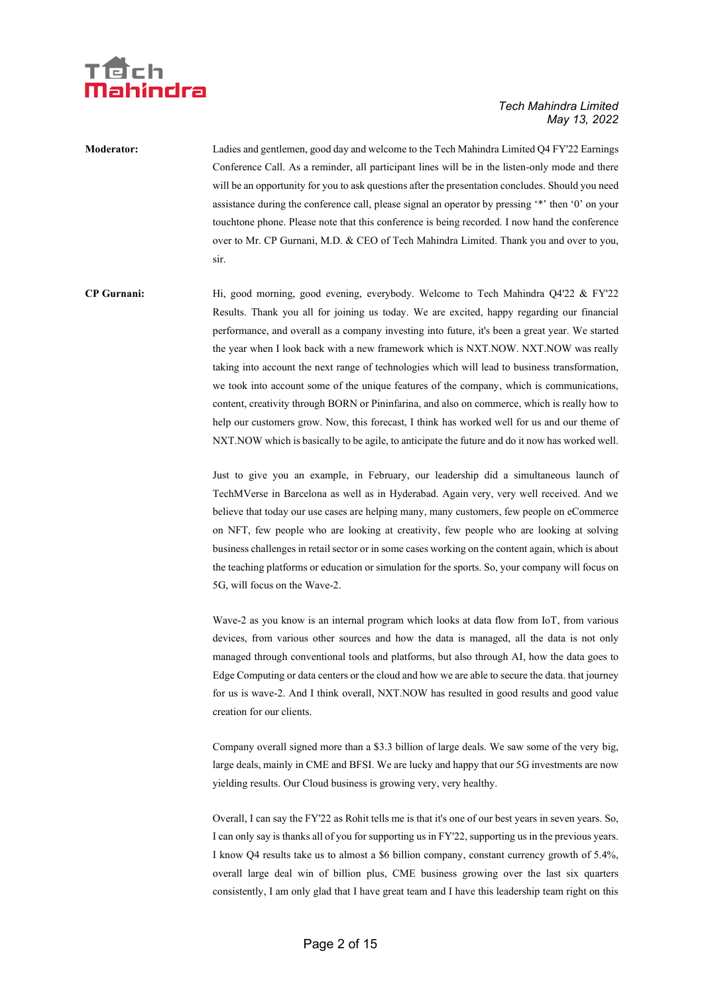

**Moderator:** Ladies and gentlemen, good day and welcome to the Tech Mahindra Limited Q4 FY'22 Earnings Conference Call. As a reminder, all participant lines will be in the listen-only mode and there will be an opportunity for you to ask questions after the presentation concludes. Should you need assistance during the conference call, please signal an operator by pressing '\*' then '0' on your touchtone phone. Please note that this conference is being recorded. I now hand the conference over to Mr. CP Gurnani, M.D. & CEO of Tech Mahindra Limited. Thank you and over to you, sir.

**CP Gurnani:** Hi, good morning, good evening, everybody. Welcome to Tech Mahindra Q4'22 & FY'22 Results. Thank you all for joining us today. We are excited, happy regarding our financial performance, and overall as a company investing into future, it's been a great year. We started the year when I look back with a new framework which is NXT.NOW. NXT.NOW was really taking into account the next range of technologies which will lead to business transformation, we took into account some of the unique features of the company, which is communications, content, creativity through BORN or Pininfarina, and also on commerce, which is really how to help our customers grow. Now, this forecast, I think has worked well for us and our theme of NXT.NOW which is basically to be agile, to anticipate the future and do it now has worked well.

> Just to give you an example, in February, our leadership did a simultaneous launch of TechMVerse in Barcelona as well as in Hyderabad. Again very, very well received. And we believe that today our use cases are helping many, many customers, few people on eCommerce on NFT, few people who are looking at creativity, few people who are looking at solving business challenges in retail sector or in some cases working on the content again, which is about the teaching platforms or education or simulation for the sports. So, your company will focus on 5G, will focus on the Wave-2.

> Wave-2 as you know is an internal program which looks at data flow from IoT, from various devices, from various other sources and how the data is managed, all the data is not only managed through conventional tools and platforms, but also through AI, how the data goes to Edge Computing or data centers or the cloud and how we are able to secure the data. that journey for us is wave-2. And I think overall, NXT.NOW has resulted in good results and good value creation for our clients.

> Company overall signed more than a \$3.3 billion of large deals. We saw some of the very big, large deals, mainly in CME and BFSI. We are lucky and happy that our 5G investments are now yielding results. Our Cloud business is growing very, very healthy.

> Overall, I can say the FY'22 as Rohit tells me is that it's one of our best years in seven years. So, I can only say is thanks all of you for supporting us in FY'22, supporting us in the previous years. I know Q4 results take us to almost a \$6 billion company, constant currency growth of 5.4%, overall large deal win of billion plus, CME business growing over the last six quarters consistently, I am only glad that I have great team and I have this leadership team right on this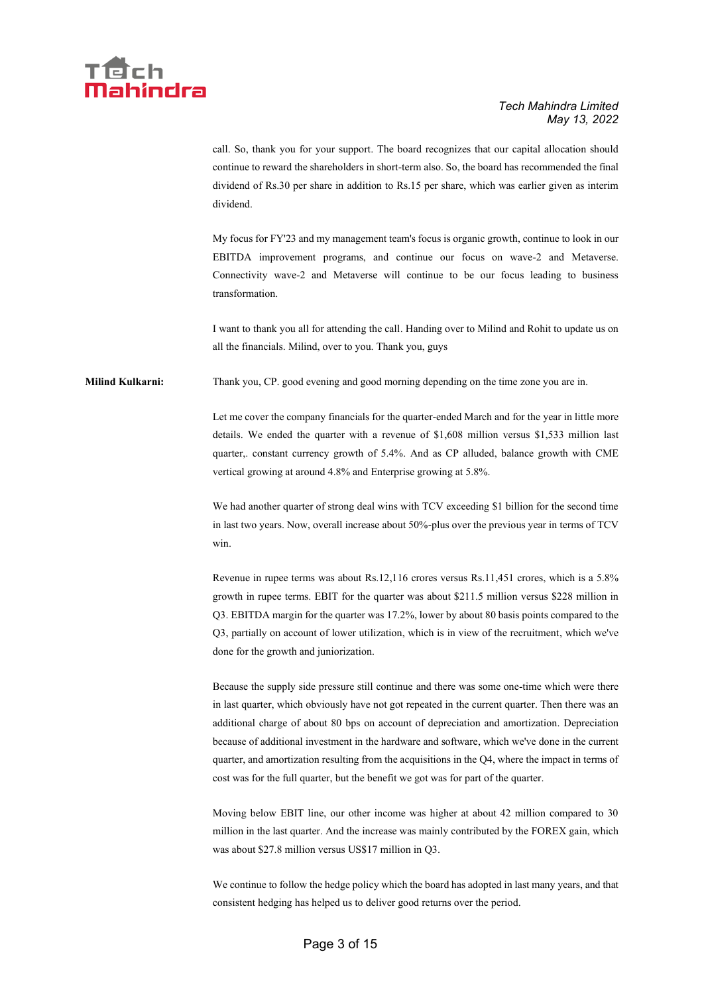

call. So, thank you for your support. The board recognizes that our capital allocation should continue to reward the shareholders in short-term also. So, the board has recommended the final dividend of Rs.30 per share in addition to Rs.15 per share, which was earlier given as interim dividend.

My focus for FY'23 and my management team's focus is organic growth, continue to look in our EBITDA improvement programs, and continue our focus on wave-2 and Metaverse. Connectivity wave-2 and Metaverse will continue to be our focus leading to business transformation.

I want to thank you all for attending the call. Handing over to Milind and Rohit to update us on all the financials. Milind, over to you. Thank you, guys

**Milind Kulkarni:** Thank you, CP. good evening and good morning depending on the time zone you are in.

Let me cover the company financials for the quarter-ended March and for the year in little more details. We ended the quarter with a revenue of \$1,608 million versus \$1,533 million last quarter,. constant currency growth of 5.4%. And as CP alluded, balance growth with CME vertical growing at around 4.8% and Enterprise growing at 5.8%.

We had another quarter of strong deal wins with TCV exceeding \$1 billion for the second time in last two years. Now, overall increase about 50%-plus over the previous year in terms of TCV win.

Revenue in rupee terms was about Rs.12,116 crores versus Rs.11,451 crores, which is a 5.8% growth in rupee terms. EBIT for the quarter was about \$211.5 million versus \$228 million in Q3. EBITDA margin for the quarter was 17.2%, lower by about 80 basis points compared to the Q3, partially on account of lower utilization, which is in view of the recruitment, which we've done for the growth and juniorization.

Because the supply side pressure still continue and there was some one-time which were there in last quarter, which obviously have not got repeated in the current quarter. Then there was an additional charge of about 80 bps on account of depreciation and amortization. Depreciation because of additional investment in the hardware and software, which we've done in the current quarter, and amortization resulting from the acquisitions in the Q4, where the impact in terms of cost was for the full quarter, but the benefit we got was for part of the quarter.

Moving below EBIT line, our other income was higher at about 42 million compared to 30 million in the last quarter. And the increase was mainly contributed by the FOREX gain, which was about \$27.8 million versus US\$17 million in Q3.

We continue to follow the hedge policy which the board has adopted in last many years, and that consistent hedging has helped us to deliver good returns over the period.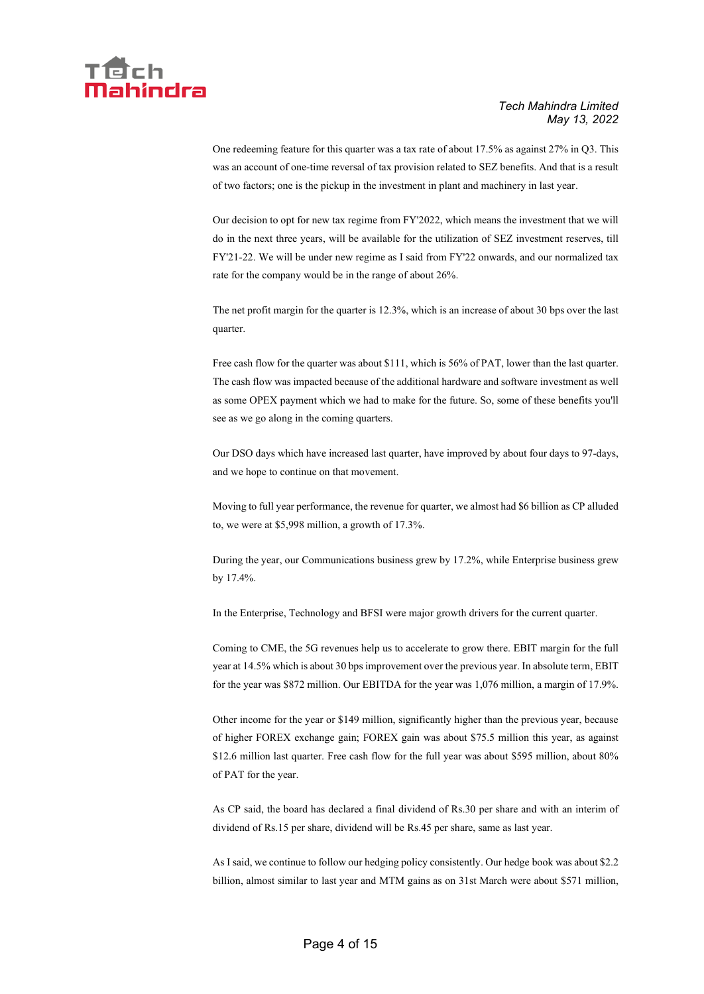

One redeeming feature for this quarter was a tax rate of about 17.5% as against 27% in Q3. This was an account of one-time reversal of tax provision related to SEZ benefits. And that is a result of two factors; one is the pickup in the investment in plant and machinery in last year.

Our decision to opt for new tax regime from FY'2022, which means the investment that we will do in the next three years, will be available for the utilization of SEZ investment reserves, till FY'21-22. We will be under new regime as I said from FY'22 onwards, and our normalized tax rate for the company would be in the range of about 26%.

The net profit margin for the quarter is 12.3%, which is an increase of about 30 bps over the last quarter.

Free cash flow for the quarter was about \$111, which is 56% of PAT, lower than the last quarter. The cash flow was impacted because of the additional hardware and software investment as well as some OPEX payment which we had to make for the future. So, some of these benefits you'll see as we go along in the coming quarters.

Our DSO days which have increased last quarter, have improved by about four days to 97-days, and we hope to continue on that movement.

Moving to full year performance, the revenue for quarter, we almost had \$6 billion as CP alluded to, we were at \$5,998 million, a growth of 17.3%.

During the year, our Communications business grew by 17.2%, while Enterprise business grew by 17.4%.

In the Enterprise, Technology and BFSI were major growth drivers for the current quarter.

Coming to CME, the 5G revenues help us to accelerate to grow there. EBIT margin for the full year at 14.5% which is about 30 bps improvement over the previous year. In absolute term, EBIT for the year was \$872 million. Our EBITDA for the year was 1,076 million, a margin of 17.9%.

Other income for the year or \$149 million, significantly higher than the previous year, because of higher FOREX exchange gain; FOREX gain was about \$75.5 million this year, as against \$12.6 million last quarter. Free cash flow for the full year was about \$595 million, about 80% of PAT for the year.

As CP said, the board has declared a final dividend of Rs.30 per share and with an interim of dividend of Rs.15 per share, dividend will be Rs.45 per share, same as last year.

As I said, we continue to follow our hedging policy consistently. Our hedge book was about \$2.2 billion, almost similar to last year and MTM gains as on 31st March were about \$571 million,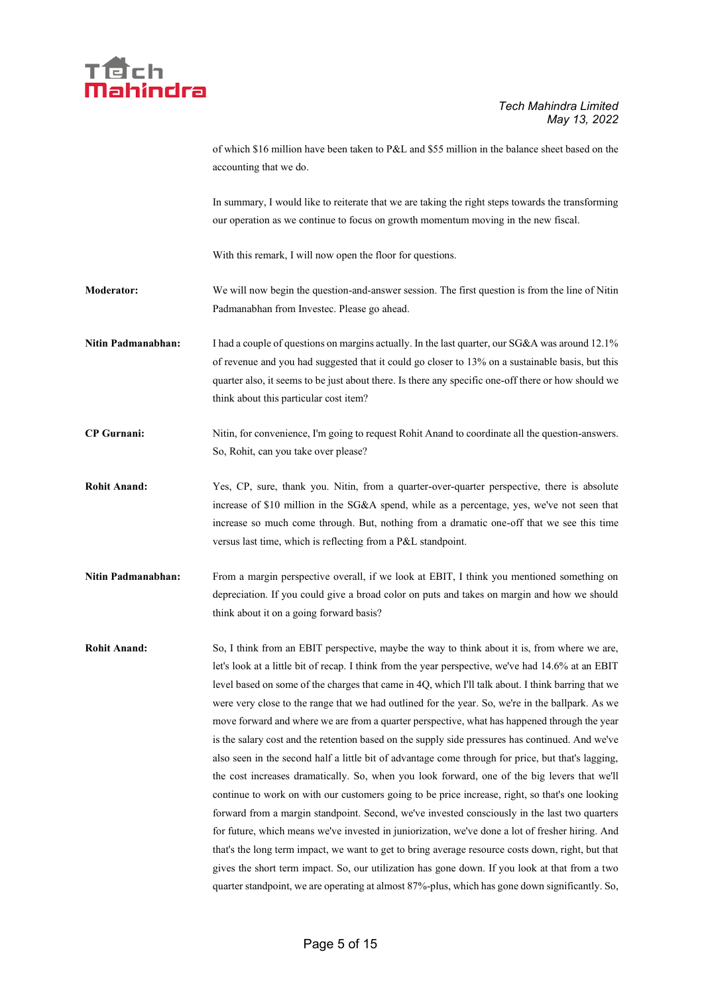

of which \$16 million have been taken to P&L and \$55 million in the balance sheet based on the accounting that we do.

In summary, I would like to reiterate that we are taking the right steps towards the transforming our operation as we continue to focus on growth momentum moving in the new fiscal.

With this remark, I will now open the floor for questions.

**Moderator:** We will now begin the question-and-answer session. The first question is from the line of Nitin Padmanabhan from Investec. Please go ahead.

**Nitin Padmanabhan:** I had a couple of questions on margins actually. In the last quarter, our SG&A was around 12.1% of revenue and you had suggested that it could go closer to 13% on a sustainable basis, but this quarter also, it seems to be just about there. Is there any specific one-off there or how should we think about this particular cost item?

**CP Gurnani:** Nitin, for convenience, I'm going to request Rohit Anand to coordinate all the question-answers. So, Rohit, can you take over please?

**Rohit Anand:** Yes, CP, sure, thank you. Nitin, from a quarter-over-quarter perspective, there is absolute increase of \$10 million in the SG&A spend, while as a percentage, yes, we've not seen that increase so much come through. But, nothing from a dramatic one-off that we see this time versus last time, which is reflecting from a P&L standpoint.

**Nitin Padmanabhan:** From a margin perspective overall, if we look at EBIT, I think you mentioned something on depreciation. If you could give a broad color on puts and takes on margin and how we should think about it on a going forward basis?

**Rohit Anand:** So, I think from an EBIT perspective, maybe the way to think about it is, from where we are, let's look at a little bit of recap. I think from the year perspective, we've had 14.6% at an EBIT level based on some of the charges that came in 4Q, which I'll talk about. I think barring that we were very close to the range that we had outlined for the year. So, we're in the ballpark. As we move forward and where we are from a quarter perspective, what has happened through the year is the salary cost and the retention based on the supply side pressures has continued. And we've also seen in the second half a little bit of advantage come through for price, but that's lagging, the cost increases dramatically. So, when you look forward, one of the big levers that we'll continue to work on with our customers going to be price increase, right, so that's one looking forward from a margin standpoint. Second, we've invested consciously in the last two quarters for future, which means we've invested in juniorization, we've done a lot of fresher hiring. And that's the long term impact, we want to get to bring average resource costs down, right, but that gives the short term impact. So, our utilization has gone down. If you look at that from a two quarter standpoint, we are operating at almost 87%-plus, which has gone down significantly. So,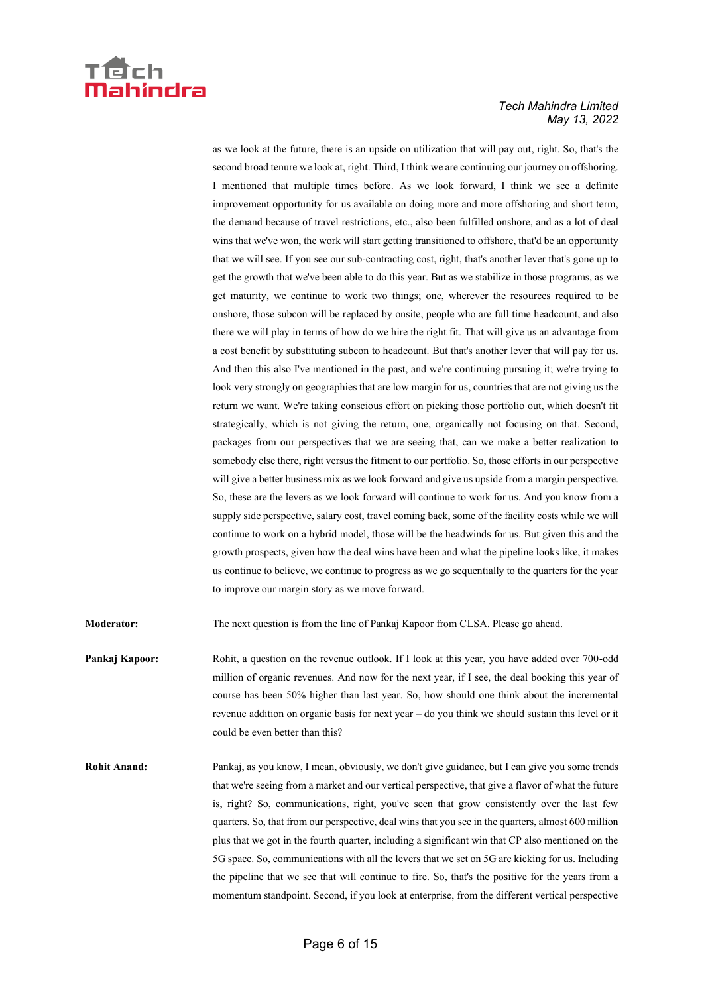

as we look at the future, there is an upside on utilization that will pay out, right. So, that's the second broad tenure we look at, right. Third, I think we are continuing our journey on offshoring. I mentioned that multiple times before. As we look forward, I think we see a definite improvement opportunity for us available on doing more and more offshoring and short term, the demand because of travel restrictions, etc., also been fulfilled onshore, and as a lot of deal wins that we've won, the work will start getting transitioned to offshore, that'd be an opportunity that we will see. If you see our sub-contracting cost, right, that's another lever that's gone up to get the growth that we've been able to do this year. But as we stabilize in those programs, as we get maturity, we continue to work two things; one, wherever the resources required to be onshore, those subcon will be replaced by onsite, people who are full time headcount, and also there we will play in terms of how do we hire the right fit. That will give us an advantage from a cost benefit by substituting subcon to headcount. But that's another lever that will pay for us. And then this also I've mentioned in the past, and we're continuing pursuing it; we're trying to look very strongly on geographies that are low margin for us, countries that are not giving us the return we want. We're taking conscious effort on picking those portfolio out, which doesn't fit strategically, which is not giving the return, one, organically not focusing on that. Second, packages from our perspectives that we are seeing that, can we make a better realization to somebody else there, right versus the fitment to our portfolio. So, those efforts in our perspective will give a better business mix as we look forward and give us upside from a margin perspective. So, these are the levers as we look forward will continue to work for us. And you know from a supply side perspective, salary cost, travel coming back, some of the facility costs while we will continue to work on a hybrid model, those will be the headwinds for us. But given this and the growth prospects, given how the deal wins have been and what the pipeline looks like, it makes us continue to believe, we continue to progress as we go sequentially to the quarters for the year to improve our margin story as we move forward.

**Moderator:** The next question is from the line of Pankaj Kapoor from CLSA. Please go ahead.

- **Pankaj Kapoor:** Rohit, a question on the revenue outlook. If I look at this year, you have added over 700-odd million of organic revenues. And now for the next year, if I see, the deal booking this year of course has been 50% higher than last year. So, how should one think about the incremental revenue addition on organic basis for next year – do you think we should sustain this level or it could be even better than this?
- **Rohit Anand:** Pankaj, as you know, I mean, obviously, we don't give guidance, but I can give you some trends that we're seeing from a market and our vertical perspective, that give a flavor of what the future is, right? So, communications, right, you've seen that grow consistently over the last few quarters. So, that from our perspective, deal wins that you see in the quarters, almost 600 million plus that we got in the fourth quarter, including a significant win that CP also mentioned on the 5G space. So, communications with all the levers that we set on 5G are kicking for us. Including the pipeline that we see that will continue to fire. So, that's the positive for the years from a momentum standpoint. Second, if you look at enterprise, from the different vertical perspective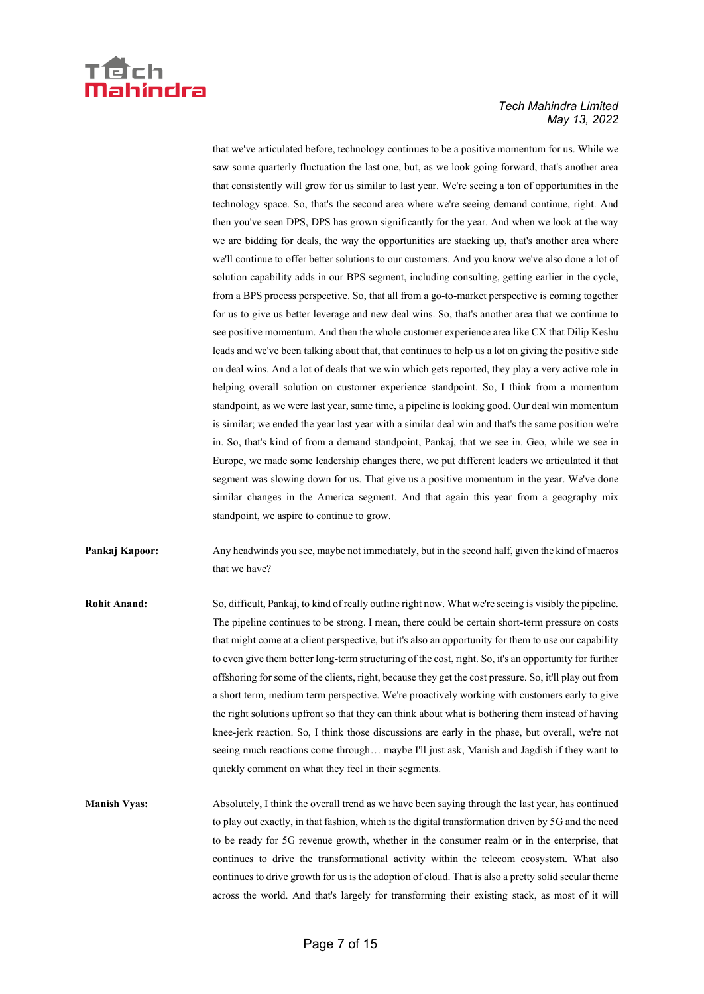

that we've articulated before, technology continues to be a positive momentum for us. While we saw some quarterly fluctuation the last one, but, as we look going forward, that's another area that consistently will grow for us similar to last year. We're seeing a ton of opportunities in the technology space. So, that's the second area where we're seeing demand continue, right. And then you've seen DPS, DPS has grown significantly for the year. And when we look at the way we are bidding for deals, the way the opportunities are stacking up, that's another area where we'll continue to offer better solutions to our customers. And you know we've also done a lot of solution capability adds in our BPS segment, including consulting, getting earlier in the cycle, from a BPS process perspective. So, that all from a go-to-market perspective is coming together for us to give us better leverage and new deal wins. So, that's another area that we continue to see positive momentum. And then the whole customer experience area like CX that Dilip Keshu leads and we've been talking about that, that continues to help us a lot on giving the positive side on deal wins. And a lot of deals that we win which gets reported, they play a very active role in helping overall solution on customer experience standpoint. So, I think from a momentum standpoint, as we were last year, same time, a pipeline is looking good. Our deal win momentum is similar; we ended the year last year with a similar deal win and that's the same position we're in. So, that's kind of from a demand standpoint, Pankaj, that we see in. Geo, while we see in Europe, we made some leadership changes there, we put different leaders we articulated it that segment was slowing down for us. That give us a positive momentum in the year. We've done similar changes in the America segment. And that again this year from a geography mix standpoint, we aspire to continue to grow.

- **Pankaj Kapoor:** Any headwinds you see, maybe not immediately, but in the second half, given the kind of macros that we have?
- **Rohit Anand:** So, difficult, Pankaj, to kind of really outline right now. What we're seeing is visibly the pipeline. The pipeline continues to be strong. I mean, there could be certain short-term pressure on costs that might come at a client perspective, but it's also an opportunity for them to use our capability to even give them better long-term structuring of the cost, right. So, it's an opportunity for further offshoring for some of the clients, right, because they get the cost pressure. So, it'll play out from a short term, medium term perspective. We're proactively working with customers early to give the right solutions upfront so that they can think about what is bothering them instead of having knee-jerk reaction. So, I think those discussions are early in the phase, but overall, we're not seeing much reactions come through… maybe I'll just ask, Manish and Jagdish if they want to quickly comment on what they feel in their segments.
- **Manish Vyas:** Absolutely, I think the overall trend as we have been saying through the last year, has continued to play out exactly, in that fashion, which is the digital transformation driven by 5G and the need to be ready for 5G revenue growth, whether in the consumer realm or in the enterprise, that continues to drive the transformational activity within the telecom ecosystem. What also continues to drive growth for us is the adoption of cloud. That is also a pretty solid secular theme across the world. And that's largely for transforming their existing stack, as most of it will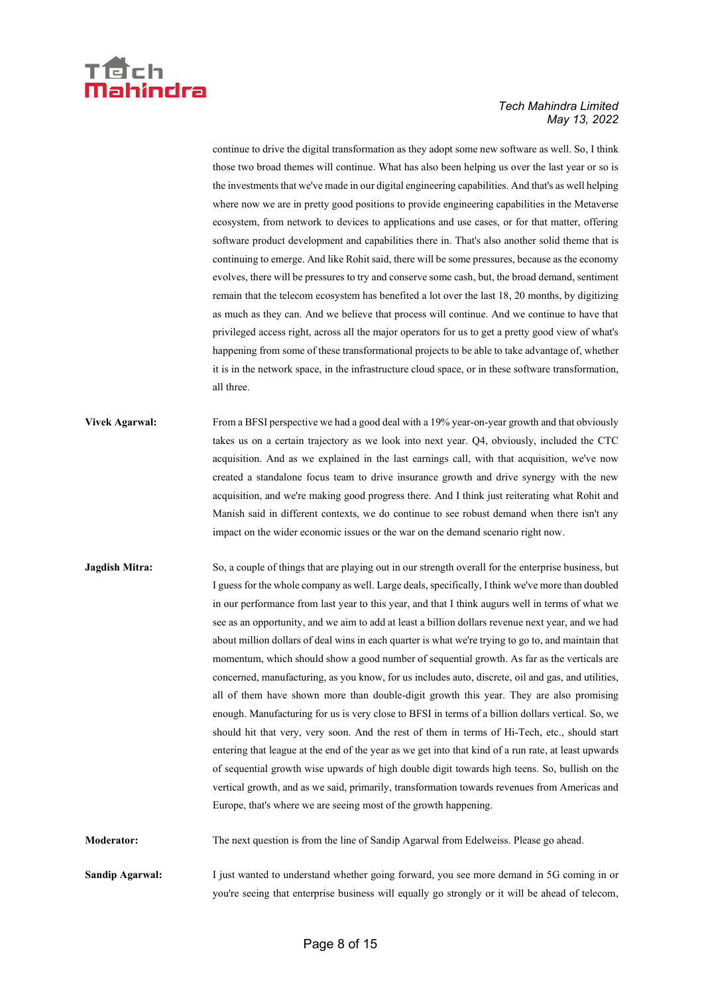

continue to drive the digital transformation as they adopt some new software as well. So, I think those two broad themes will continue. What has also been helping us over the last year or so is the investments that we've made in our digital engineering capabilities. And that's as well helping where now we are in pretty good positions to provide engineering capabilities in the Metaverse ecosystem, from network to devices to applications and use cases, or for that matter, offering software product development and capabilities there in. That's also another solid theme that is continuing to emerge. And like Rohit said, there will be some pressures, because as the economy evolves, there will be pressures to try and conserve some cash, but, the broad demand, sentiment remain that the telecom ecosystem has benefited a lot over the last 18, 20 months, by digitizing as much as they can. And we believe that process will continue. And we continue to have that privileged access right, across all the major operators for us to get a pretty good view of what's happening from some of these transformational projects to be able to take advantage of, whether it is in the network space, in the infrastructure cloud space, or in these software transformation, all three.

- **Vivek Agarwal:** From a BFSI perspective we had a good deal with a 19% year-on-year growth and that obviously takes us on a certain trajectory as we look into next year. Q4, obviously, included the CTC acquisition. And as we explained in the last earnings call, with that acquisition, we've now created a standalone focus team to drive insurance growth and drive synergy with the new acquisition, and we're making good progress there. And I think just reiterating what Rohit and Manish said in different contexts, we do continue to see robust demand when there isn't any impact on the wider economic issues or the war on the demand scenario right now.
- **Jagdish Mitra:** So, a couple of things that are playing out in our strength overall for the enterprise business, but I guess for the whole company as well. Large deals, specifically, I think we've more than doubled in our performance from last year to this year, and that I think augurs well in terms of what we see as an opportunity, and we aim to add at least a billion dollars revenue next year, and we had about million dollars of deal wins in each quarter is what we're trying to go to, and maintain that momentum, which should show a good number of sequential growth. As far as the verticals are concerned, manufacturing, as you know, for us includes auto, discrete, oil and gas, and utilities, all of them have shown more than double-digit growth this year. They are also promising enough. Manufacturing for us is very close to BFSI in terms of a billion dollars vertical. So, we should hit that very, very soon. And the rest of them in terms of Hi-Tech, etc., should start entering that league at the end of the year as we get into that kind of a run rate, at least upwards of sequential growth wise upwards of high double digit towards high teens. So, bullish on the vertical growth, and as we said, primarily, transformation towards revenues from Americas and Europe, that's where we are seeing most of the growth happening.

**Moderator:** The next question is from the line of Sandip Agarwal from Edelweiss. Please go ahead.

**Sandip Agarwal:** I just wanted to understand whether going forward, you see more demand in 5G coming in or you're seeing that enterprise business will equally go strongly or it will be ahead of telecom,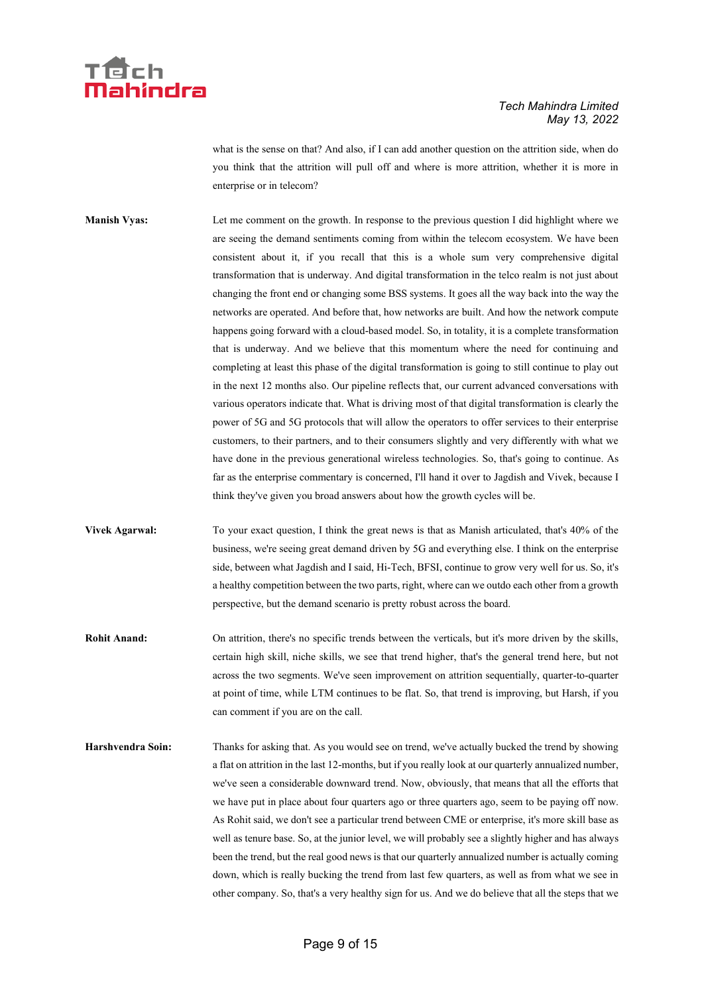

what is the sense on that? And also, if I can add another question on the attrition side, when do you think that the attrition will pull off and where is more attrition, whether it is more in enterprise or in telecom?

**Manish Vyas:** Let me comment on the growth. In response to the previous question I did highlight where we are seeing the demand sentiments coming from within the telecom ecosystem. We have been consistent about it, if you recall that this is a whole sum very comprehensive digital transformation that is underway. And digital transformation in the telco realm is not just about changing the front end or changing some BSS systems. It goes all the way back into the way the networks are operated. And before that, how networks are built. And how the network compute happens going forward with a cloud-based model. So, in totality, it is a complete transformation that is underway. And we believe that this momentum where the need for continuing and completing at least this phase of the digital transformation is going to still continue to play out in the next 12 months also. Our pipeline reflects that, our current advanced conversations with various operators indicate that. What is driving most of that digital transformation is clearly the power of 5G and 5G protocols that will allow the operators to offer services to their enterprise customers, to their partners, and to their consumers slightly and very differently with what we have done in the previous generational wireless technologies. So, that's going to continue. As far as the enterprise commentary is concerned, I'll hand it over to Jagdish and Vivek, because I think they've given you broad answers about how the growth cycles will be.

**Vivek Agarwal:** To your exact question, I think the great news is that as Manish articulated, that's 40% of the business, we're seeing great demand driven by 5G and everything else. I think on the enterprise side, between what Jagdish and I said, Hi-Tech, BFSI, continue to grow very well for us. So, it's a healthy competition between the two parts, right, where can we outdo each other from a growth perspective, but the demand scenario is pretty robust across the board.

**Rohit Anand:** On attrition, there's no specific trends between the verticals, but it's more driven by the skills, certain high skill, niche skills, we see that trend higher, that's the general trend here, but not across the two segments. We've seen improvement on attrition sequentially, quarter-to-quarter at point of time, while LTM continues to be flat. So, that trend is improving, but Harsh, if you can comment if you are on the call.

**Harshvendra Soin:** Thanks for asking that. As you would see on trend, we've actually bucked the trend by showing a flat on attrition in the last 12-months, but if you really look at our quarterly annualized number, we've seen a considerable downward trend. Now, obviously, that means that all the efforts that we have put in place about four quarters ago or three quarters ago, seem to be paying off now. As Rohit said, we don't see a particular trend between CME or enterprise, it's more skill base as well as tenure base. So, at the junior level, we will probably see a slightly higher and has always been the trend, but the real good news is that our quarterly annualized number is actually coming down, which is really bucking the trend from last few quarters, as well as from what we see in other company. So, that's a very healthy sign for us. And we do believe that all the steps that we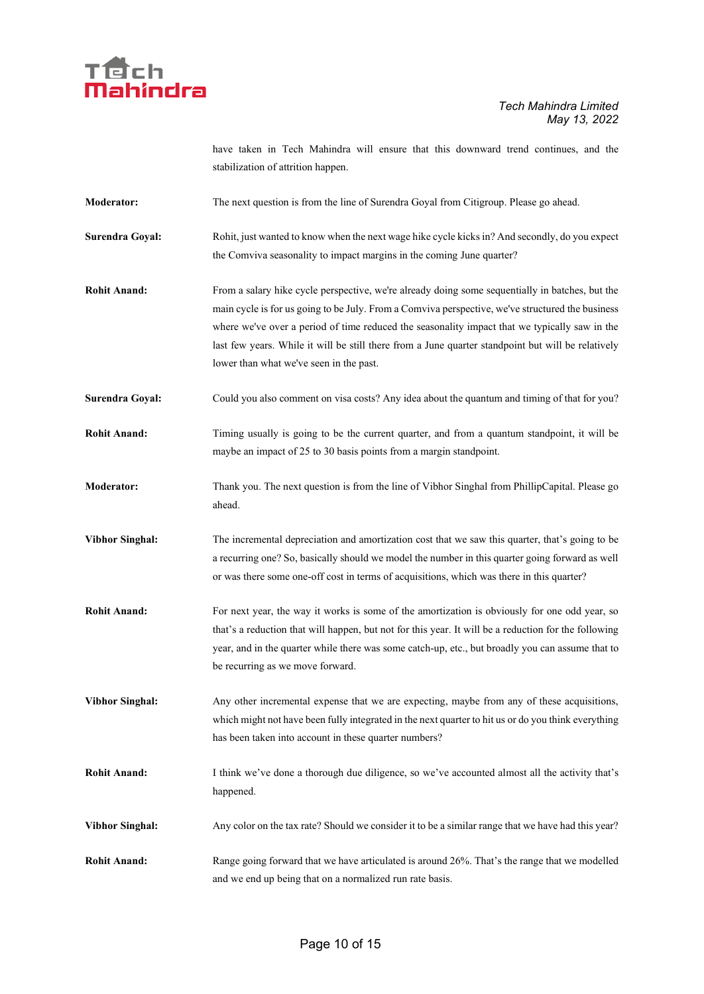

have taken in Tech Mahindra will ensure that this downward trend continues, and the stabilization of attrition happen.

- **Moderator:** The next question is from the line of Surendra Goyal from Citigroup. Please go ahead.
- **Surendra Goyal:** Rohit, just wanted to know when the next wage hike cycle kicks in? And secondly, do you expect the Comviva seasonality to impact margins in the coming June quarter?
- **Rohit Anand:** From a salary hike cycle perspective, we're already doing some sequentially in batches, but the main cycle is for us going to be July. From a Comviva perspective, we've structured the business where we've over a period of time reduced the seasonality impact that we typically saw in the last few years. While it will be still there from a June quarter standpoint but will be relatively lower than what we've seen in the past.
- **Surendra Goyal:** Could you also comment on visa costs? Any idea about the quantum and timing of that for you?
- **Rohit Anand:** Timing usually is going to be the current quarter, and from a quantum standpoint, it will be maybe an impact of 25 to 30 basis points from a margin standpoint.
- **Moderator:** Thank you. The next question is from the line of Vibhor Singhal from PhillipCapital. Please go ahead.
- **Vibhor Singhal:** The incremental depreciation and amortization cost that we saw this quarter, that's going to be a recurring one? So, basically should we model the number in this quarter going forward as well or was there some one-off cost in terms of acquisitions, which was there in this quarter?
- **Rohit Anand:** For next year, the way it works is some of the amortization is obviously for one odd year, so that's a reduction that will happen, but not for this year. It will be a reduction for the following year, and in the quarter while there was some catch-up, etc., but broadly you can assume that to be recurring as we move forward.
- **Vibhor Singhal:** Any other incremental expense that we are expecting, maybe from any of these acquisitions, which might not have been fully integrated in the next quarter to hit us or do you think everything has been taken into account in these quarter numbers?
- **Rohit Anand:** I think we've done a thorough due diligence, so we've accounted almost all the activity that's happened.
- **Vibhor Singhal:** Any color on the tax rate? Should we consider it to be a similar range that we have had this year?
- **Rohit Anand:** Range going forward that we have articulated is around 26%. That's the range that we modelled and we end up being that on a normalized run rate basis.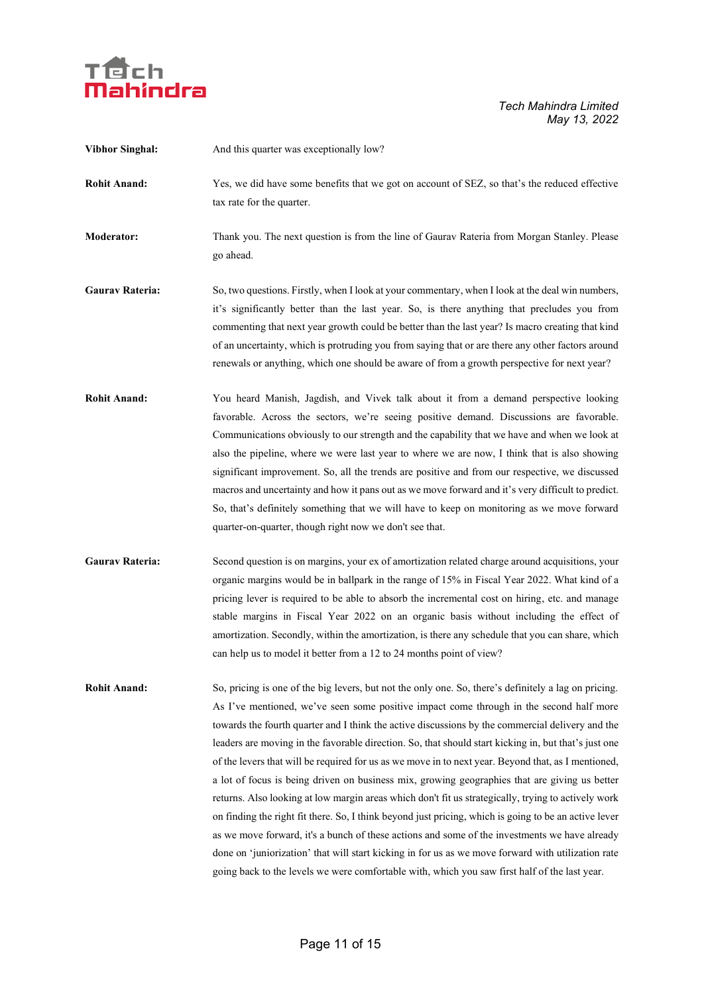

| <b>Vibhor Singhal:</b> | And this quarter was exceptionally low?                                                                                                                                                                                                                                                                                                                                                                                                                                                                                                                                                                                                                                                                                                                                                                                                                                                                                                                                                                                                                                                                                                     |
|------------------------|---------------------------------------------------------------------------------------------------------------------------------------------------------------------------------------------------------------------------------------------------------------------------------------------------------------------------------------------------------------------------------------------------------------------------------------------------------------------------------------------------------------------------------------------------------------------------------------------------------------------------------------------------------------------------------------------------------------------------------------------------------------------------------------------------------------------------------------------------------------------------------------------------------------------------------------------------------------------------------------------------------------------------------------------------------------------------------------------------------------------------------------------|
| <b>Rohit Anand:</b>    | Yes, we did have some benefits that we got on account of SEZ, so that's the reduced effective<br>tax rate for the quarter.                                                                                                                                                                                                                                                                                                                                                                                                                                                                                                                                                                                                                                                                                                                                                                                                                                                                                                                                                                                                                  |
| <b>Moderator:</b>      | Thank you. The next question is from the line of Gaurav Rateria from Morgan Stanley. Please<br>go ahead.                                                                                                                                                                                                                                                                                                                                                                                                                                                                                                                                                                                                                                                                                                                                                                                                                                                                                                                                                                                                                                    |
| <b>Gaurav Rateria:</b> | So, two questions. Firstly, when I look at your commentary, when I look at the deal win numbers,<br>it's significantly better than the last year. So, is there anything that precludes you from<br>commenting that next year growth could be better than the last year? Is macro creating that kind<br>of an uncertainty, which is protruding you from saying that or are there any other factors around<br>renewals or anything, which one should be aware of from a growth perspective for next year?                                                                                                                                                                                                                                                                                                                                                                                                                                                                                                                                                                                                                                     |
| <b>Rohit Anand:</b>    | You heard Manish, Jagdish, and Vivek talk about it from a demand perspective looking<br>favorable. Across the sectors, we're seeing positive demand. Discussions are favorable.<br>Communications obviously to our strength and the capability that we have and when we look at<br>also the pipeline, where we were last year to where we are now, I think that is also showing<br>significant improvement. So, all the trends are positive and from our respective, we discussed<br>macros and uncertainty and how it pans out as we move forward and it's very difficult to predict.<br>So, that's definitely something that we will have to keep on monitoring as we move forward<br>quarter-on-quarter, though right now we don't see that.                                                                                                                                                                                                                                                                                                                                                                                             |
| <b>Gaurav Rateria:</b> | Second question is on margins, your ex of amortization related charge around acquisitions, your<br>organic margins would be in ballpark in the range of 15% in Fiscal Year 2022. What kind of a<br>pricing lever is required to be able to absorb the incremental cost on hiring, etc. and manage<br>stable margins in Fiscal Year 2022 on an organic basis without including the effect of<br>amortization. Secondly, within the amortization, is there any schedule that you can share, which<br>can help us to model it better from a 12 to 24 months point of view?                                                                                                                                                                                                                                                                                                                                                                                                                                                                                                                                                                     |
| <b>Rohit Anand:</b>    | So, pricing is one of the big levers, but not the only one. So, there's definitely a lag on pricing.<br>As I've mentioned, we've seen some positive impact come through in the second half more<br>towards the fourth quarter and I think the active discussions by the commercial delivery and the<br>leaders are moving in the favorable direction. So, that should start kicking in, but that's just one<br>of the levers that will be required for us as we move in to next year. Beyond that, as I mentioned,<br>a lot of focus is being driven on business mix, growing geographies that are giving us better<br>returns. Also looking at low margin areas which don't fit us strategically, trying to actively work<br>on finding the right fit there. So, I think beyond just pricing, which is going to be an active lever<br>as we move forward, it's a bunch of these actions and some of the investments we have already<br>done on 'juniorization' that will start kicking in for us as we move forward with utilization rate<br>going back to the levels we were comfortable with, which you saw first half of the last year. |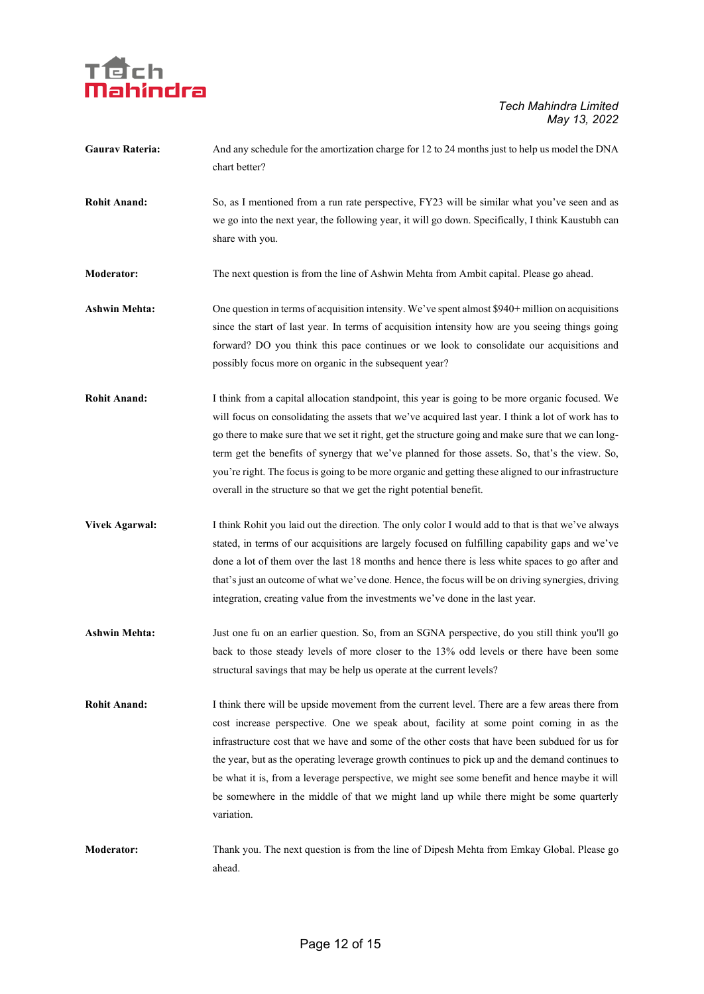

| <b>Gaurav Rateria:</b> | And any schedule for the amortization charge for 12 to 24 months just to help us model the DNA |
|------------------------|------------------------------------------------------------------------------------------------|
|                        | chart better?                                                                                  |

**Rohit Anand:** So, as I mentioned from a run rate perspective, FY23 will be similar what you've seen and as we go into the next year, the following year, it will go down. Specifically, I think Kaustubh can share with you.

**Moderator:** The next question is from the line of Ashwin Mehta from Ambit capital. Please go ahead.

- Ashwin Mehta: One question in terms of acquisition intensity. We've spent almost \$940+ million on acquisitions since the start of last year. In terms of acquisition intensity how are you seeing things going forward? DO you think this pace continues or we look to consolidate our acquisitions and possibly focus more on organic in the subsequent year?
- **Rohit Anand:** I think from a capital allocation standpoint, this year is going to be more organic focused. We will focus on consolidating the assets that we've acquired last year. I think a lot of work has to go there to make sure that we set it right, get the structure going and make sure that we can longterm get the benefits of synergy that we've planned for those assets. So, that's the view. So, you're right. The focus is going to be more organic and getting these aligned to our infrastructure overall in the structure so that we get the right potential benefit.
- **Vivek Agarwal:** I think Rohit you laid out the direction. The only color I would add to that is that we've always stated, in terms of our acquisitions are largely focused on fulfilling capability gaps and we've done a lot of them over the last 18 months and hence there is less white spaces to go after and that's just an outcome of what we've done. Hence, the focus will be on driving synergies, driving integration, creating value from the investments we've done in the last year.
- **Ashwin Mehta:** Just one fu on an earlier question. So, from an SGNA perspective, do you still think you'll go back to those steady levels of more closer to the 13% odd levels or there have been some structural savings that may be help us operate at the current levels?
- **Rohit Anand:** I think there will be upside movement from the current level. There are a few areas there from cost increase perspective. One we speak about, facility at some point coming in as the infrastructure cost that we have and some of the other costs that have been subdued for us for the year, but as the operating leverage growth continues to pick up and the demand continues to be what it is, from a leverage perspective, we might see some benefit and hence maybe it will be somewhere in the middle of that we might land up while there might be some quarterly variation.
- **Moderator:** Thank you. The next question is from the line of Dipesh Mehta from Emkay Global. Please go ahead.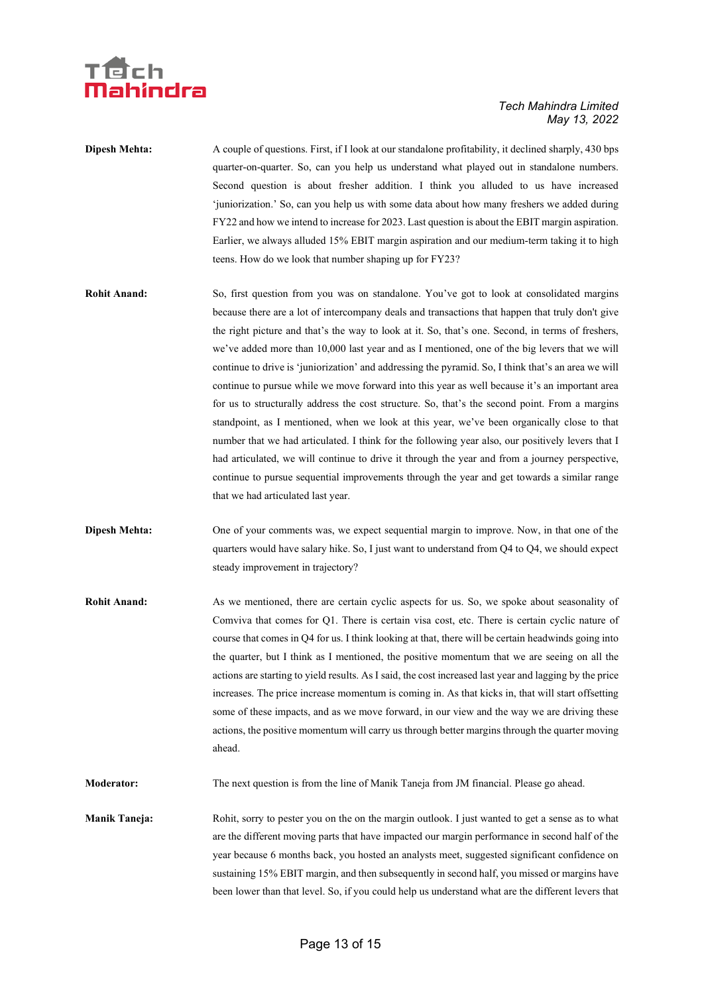## 'dch ahindra

#### *Tech Mahindra Limited May 13, 2022*

**Dipesh Mehta:** A couple of questions. First, if I look at our standalone profitability, it declined sharply, 430 bps quarter-on-quarter. So, can you help us understand what played out in standalone numbers. Second question is about fresher addition. I think you alluded to us have increased 'juniorization.' So, can you help us with some data about how many freshers we added during FY22 and how we intend to increase for 2023. Last question is about the EBIT margin aspiration. Earlier, we always alluded 15% EBIT margin aspiration and our medium-term taking it to high teens. How do we look that number shaping up for FY23?

- **Rohit Anand:** So, first question from you was on standalone. You've got to look at consolidated margins because there are a lot of intercompany deals and transactions that happen that truly don't give the right picture and that's the way to look at it. So, that's one. Second, in terms of freshers, we've added more than 10,000 last year and as I mentioned, one of the big levers that we will continue to drive is 'juniorization' and addressing the pyramid. So, I think that's an area we will continue to pursue while we move forward into this year as well because it's an important area for us to structurally address the cost structure. So, that's the second point. From a margins standpoint, as I mentioned, when we look at this year, we've been organically close to that number that we had articulated. I think for the following year also, our positively levers that I had articulated, we will continue to drive it through the year and from a journey perspective, continue to pursue sequential improvements through the year and get towards a similar range that we had articulated last year.
- **Dipesh Mehta:** One of your comments was, we expect sequential margin to improve. Now, in that one of the quarters would have salary hike. So, I just want to understand from Q4 to Q4, we should expect steady improvement in trajectory?
- **Rohit Anand:** As we mentioned, there are certain cyclic aspects for us. So, we spoke about seasonality of Comviva that comes for Q1. There is certain visa cost, etc. There is certain cyclic nature of course that comes in Q4 for us. I think looking at that, there will be certain headwinds going into the quarter, but I think as I mentioned, the positive momentum that we are seeing on all the actions are starting to yield results. As I said, the cost increased last year and lagging by the price increases. The price increase momentum is coming in. As that kicks in, that will start offsetting some of these impacts, and as we move forward, in our view and the way we are driving these actions, the positive momentum will carry us through better margins through the quarter moving ahead.

**Moderator:** The next question is from the line of Manik Taneja from JM financial. Please go ahead.

**Manik Taneja:** Rohit, sorry to pester you on the on the margin outlook. I just wanted to get a sense as to what are the different moving parts that have impacted our margin performance in second half of the year because 6 months back, you hosted an analysts meet, suggested significant confidence on sustaining 15% EBIT margin, and then subsequently in second half, you missed or margins have been lower than that level. So, if you could help us understand what are the different levers that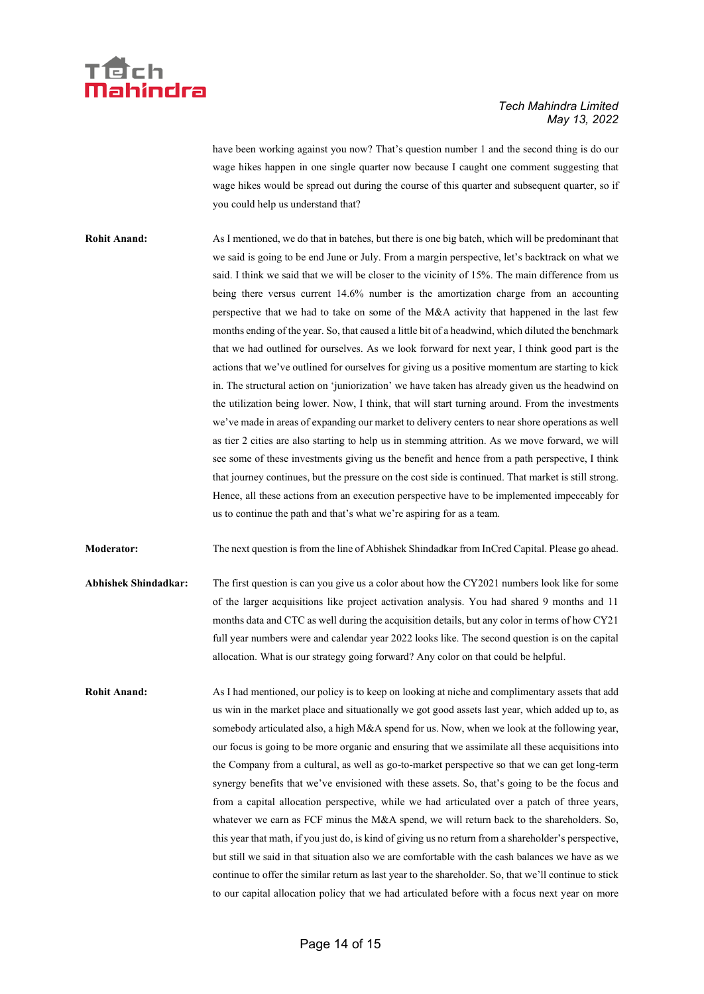

have been working against you now? That's question number 1 and the second thing is do our wage hikes happen in one single quarter now because I caught one comment suggesting that wage hikes would be spread out during the course of this quarter and subsequent quarter, so if you could help us understand that?

**Rohit Anand:** As I mentioned, we do that in batches, but there is one big batch, which will be predominant that we said is going to be end June or July. From a margin perspective, let's backtrack on what we said. I think we said that we will be closer to the vicinity of 15%. The main difference from us being there versus current 14.6% number is the amortization charge from an accounting perspective that we had to take on some of the M&A activity that happened in the last few months ending of the year. So, that caused a little bit of a headwind, which diluted the benchmark that we had outlined for ourselves. As we look forward for next year, I think good part is the actions that we've outlined for ourselves for giving us a positive momentum are starting to kick in. The structural action on 'juniorization' we have taken has already given us the headwind on the utilization being lower. Now, I think, that will start turning around. From the investments we've made in areas of expanding our market to delivery centers to near shore operations as well as tier 2 cities are also starting to help us in stemming attrition. As we move forward, we will see some of these investments giving us the benefit and hence from a path perspective, I think that journey continues, but the pressure on the cost side is continued. That market is still strong. Hence, all these actions from an execution perspective have to be implemented impeccably for us to continue the path and that's what we're aspiring for as a team.

**Moderator:** The next question is from the line of Abhishek Shindadkar from InCred Capital. Please go ahead.

- **Abhishek Shindadkar:** The first question is can you give us a color about how the CY2021 numbers look like for some of the larger acquisitions like project activation analysis. You had shared 9 months and 11 months data and CTC as well during the acquisition details, but any color in terms of how CY21 full year numbers were and calendar year 2022 looks like. The second question is on the capital allocation. What is our strategy going forward? Any color on that could be helpful.
- **Rohit Anand:** As I had mentioned, our policy is to keep on looking at niche and complimentary assets that add us win in the market place and situationally we got good assets last year, which added up to, as somebody articulated also, a high M&A spend for us. Now, when we look at the following year, our focus is going to be more organic and ensuring that we assimilate all these acquisitions into the Company from a cultural, as well as go-to-market perspective so that we can get long-term synergy benefits that we've envisioned with these assets. So, that's going to be the focus and from a capital allocation perspective, while we had articulated over a patch of three years, whatever we earn as FCF minus the M&A spend, we will return back to the shareholders. So, this year that math, if you just do, is kind of giving us no return from a shareholder's perspective, but still we said in that situation also we are comfortable with the cash balances we have as we continue to offer the similar return as last year to the shareholder. So, that we'll continue to stick to our capital allocation policy that we had articulated before with a focus next year on more